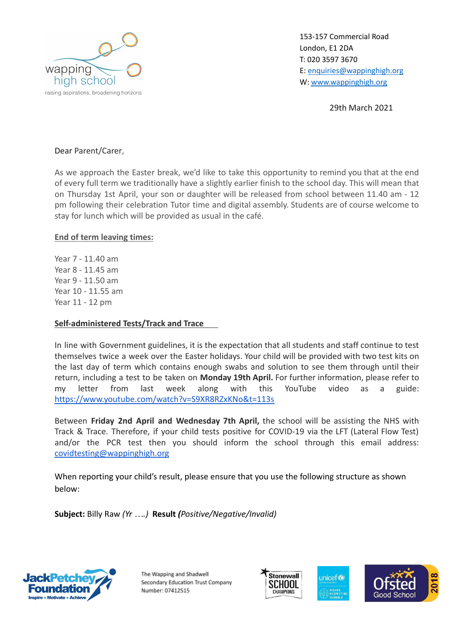

153-157 Commercial Road London, E1 2DA T: 020 3597 3670 E: [enquiries@wappinghigh.org](mailto:enquiries@wappinghigh.org) W: [www.wappinghigh.org](http://www.wappinghigh.org)

29th March 2021

## Dear Parent/Carer,

As we approach the Easter break, we'd like to take this opportunity to remind you that at the end of every full term we traditionally have a slightly earlier finish to the school day. This will mean that on Thursday 1st April, your son or daughter will be released from school between 11.40 am - 12 pm following their celebration Tutor time and digital assembly. Students are of course welcome to stay for lunch which will be provided as usual in the café.

## **End of term leaving times:**

Year 7 - 11.40 am Year 8 - 11.45 am Year 9 - 11.50 am Year 10 - 11.55 am Year 11 - 12 pm

## **Self-administered Tests/Track and Trace**

In line with Government guidelines, it is the expectation that all students and staff continue to test themselves twice a week over the Easter holidays. Your child will be provided with two test kits on the last day of term which contains enough swabs and solution to see them through until their return, including a test to be taken on **Monday 19th April.** For further information, please refer to my letter from last week along with this YouTube video as a guide: <https://www.youtube.com/watch?v=S9XR8RZxKNo&t=113s>

Between **Friday 2nd April and Wednesday 7th April,** the school will be assisting the NHS with Track & Trace. Therefore, if your child tests positive for COVID-19 via the LFT (Lateral Flow Test) and/or the PCR test then you should inform the school through this email address: [covidtesting@wappinghigh.org](mailto:covidtesting@wappinghigh.org)

When reporting your child's result, please ensure that you use the following structure as shown below:

**Subject:** Billy Raw *(Yr ….)* **Result** *(Positive/Negative/Invalid)*



The Wapping and Shadwell Secondary Education Trust Company Number: 07412515